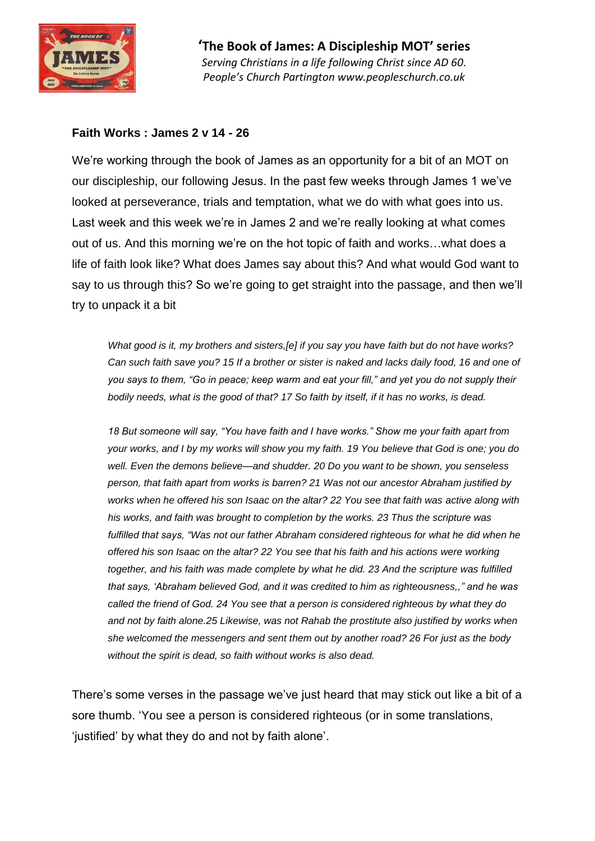

#### **Faith Works : James 2 v 14 - 26**

We're working through the book of James as an opportunity for a bit of an MOT on our discipleship, our following Jesus. In the past few weeks through James 1 we've looked at perseverance, trials and temptation, what we do with what goes into us. Last week and this week we're in James 2 and we're really looking at what comes out of us. And this morning we're on the hot topic of faith and works…what does a life of faith look like? What does James say about this? And what would God want to say to us through this? So we're going to get straight into the passage, and then we'll try to unpack it a bit

*What good is it, my brothers and sisters,[e] if you say you have faith but do not have works? Can such faith save you? 15 If a brother or sister is naked and lacks daily food, 16 and one of you says to them, "Go in peace; keep warm and eat your fill," and yet you do not supply their bodily needs, what is the good of that? 17 So faith by itself, if it has no works, is dead.*

*18 But someone will say, "You have faith and I have works." Show me your faith apart from your works, and I by my works will show you my faith. 19 You believe that God is one; you do well. Even the demons believe—and shudder. 20 Do you want to be shown, you senseless person, that faith apart from works is barren? 21 Was not our ancestor Abraham justified by works when he offered his son Isaac on the altar? 22 You see that faith was active along with his works, and faith was brought to completion by the works. 23 Thus the scripture was fulfilled that says, "Was not our father Abraham considered righteous for what he did when he offered his son Isaac on the altar? 22 You see that his faith and his actions were working together, and his faith was made complete by what he did. 23 And the scripture was fulfilled that says, 'Abraham believed God, and it was credited to him as righteousness,," and he was called the friend of God. 24 You see that a person is considered righteous by what they do and not by faith alone.25 Likewise, was not Rahab the prostitute also justified by works when she welcomed the messengers and sent them out by another road? 26 For just as the body without the spirit is dead, so faith without works is also dead.*

There's some verses in the passage we've just heard that may stick out like a bit of a sore thumb. 'You see a person is considered righteous (or in some translations, 'justified' by what they do and not by faith alone'.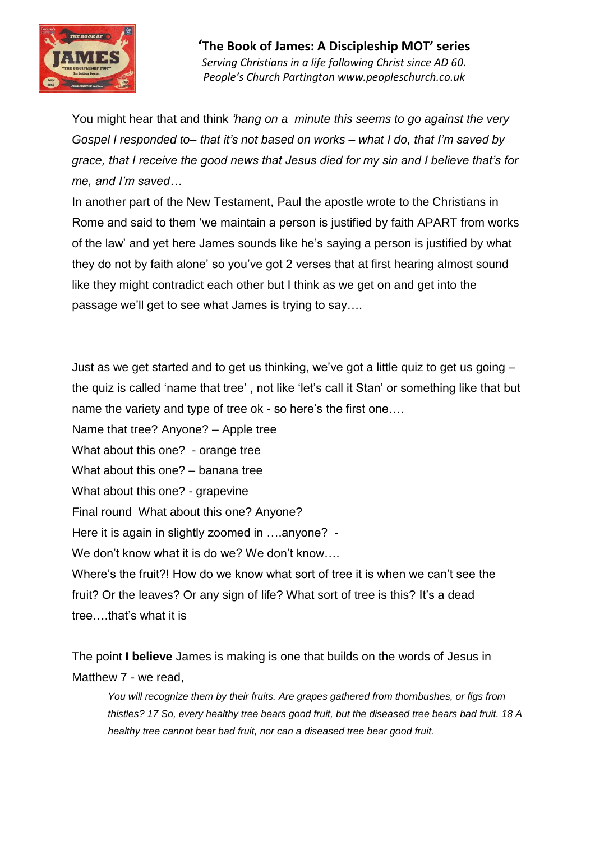

You might hear that and think *'hang on a minute this seems to go against the very Gospel I responded to– that it's not based on works – what I do, that I'm saved by grace, that I receive the good news that Jesus died for my sin and I believe that's for me, and I'm saved…*

In another part of the New Testament, Paul the apostle wrote to the Christians in Rome and said to them 'we maintain a person is justified by faith APART from works of the law' and yet here James sounds like he's saying a person is justified by what they do not by faith alone' so you've got 2 verses that at first hearing almost sound like they might contradict each other but I think as we get on and get into the passage we'll get to see what James is trying to say….

Just as we get started and to get us thinking, we've got a little quiz to get us going – the quiz is called 'name that tree' , not like 'let's call it Stan' or something like that but name the variety and type of tree ok - so here's the first one….

Name that tree? Anyone? – Apple tree

What about this one? - orange tree

What about this one? – banana tree

What about this one? - grapevine

Final round What about this one? Anyone?

Here it is again in slightly zoomed in ….anyone? -

We don't know what it is do we? We don't know....

Where's the fruit?! How do we know what sort of tree it is when we can't see the fruit? Or the leaves? Or any sign of life? What sort of tree is this? It's a dead tree….that's what it is

The point **I believe** James is making is one that builds on the words of Jesus in Matthew 7 - we read,

*You will recognize them by their fruits. Are grapes gathered from thornbushes, or figs from thistles? 17 So, every healthy tree bears good fruit, but the diseased tree bears bad fruit. 18 A healthy tree cannot bear bad fruit, nor can a diseased tree bear good fruit.*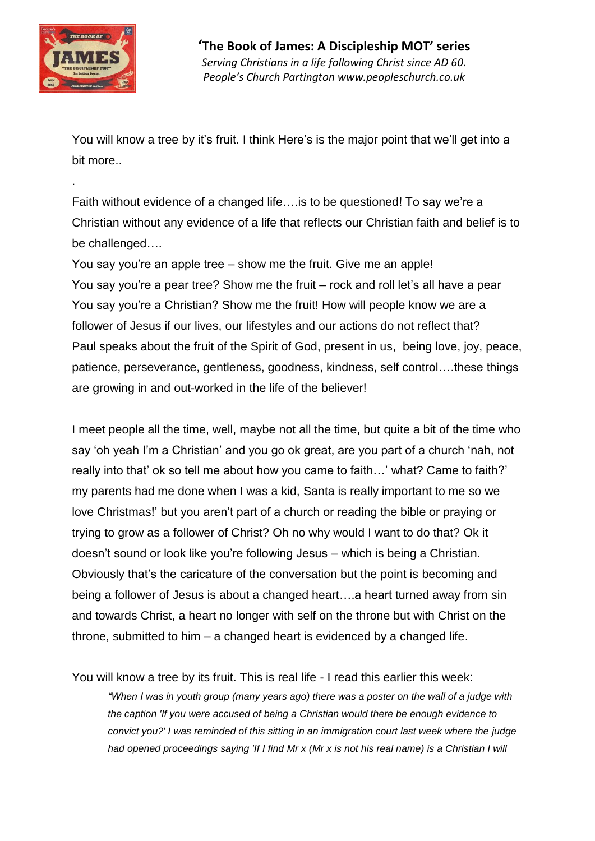

.

You will know a tree by it's fruit. I think Here's is the major point that we'll get into a bit more..

Faith without evidence of a changed life….is to be questioned! To say we're a Christian without any evidence of a life that reflects our Christian faith and belief is to be challenged….

You say you're an apple tree – show me the fruit. Give me an apple! You say you're a pear tree? Show me the fruit – rock and roll let's all have a pear You say you're a Christian? Show me the fruit! How will people know we are a follower of Jesus if our lives, our lifestyles and our actions do not reflect that? Paul speaks about the fruit of the Spirit of God, present in us, being love, joy, peace, patience, perseverance, gentleness, goodness, kindness, self control….these things are growing in and out-worked in the life of the believer!

I meet people all the time, well, maybe not all the time, but quite a bit of the time who say 'oh yeah I'm a Christian' and you go ok great, are you part of a church 'nah, not really into that' ok so tell me about how you came to faith…' what? Came to faith?' my parents had me done when I was a kid, Santa is really important to me so we love Christmas!' but you aren't part of a church or reading the bible or praying or trying to grow as a follower of Christ? Oh no why would I want to do that? Ok it doesn't sound or look like you're following Jesus – which is being a Christian. Obviously that's the caricature of the conversation but the point is becoming and being a follower of Jesus is about a changed heart….a heart turned away from sin and towards Christ, a heart no longer with self on the throne but with Christ on the throne, submitted to him – a changed heart is evidenced by a changed life.

You will know a tree by its fruit. This is real life - I read this earlier this week:

*"When I was in youth group (many years ago) there was a poster on the wall of a judge with the caption 'If you were accused of being a Christian would there be enough evidence to convict you?' I was reminded of this sitting in an immigration court last week where the judge had opened proceedings saying 'If I find Mr x (Mr x is not his real name) is a Christian I will*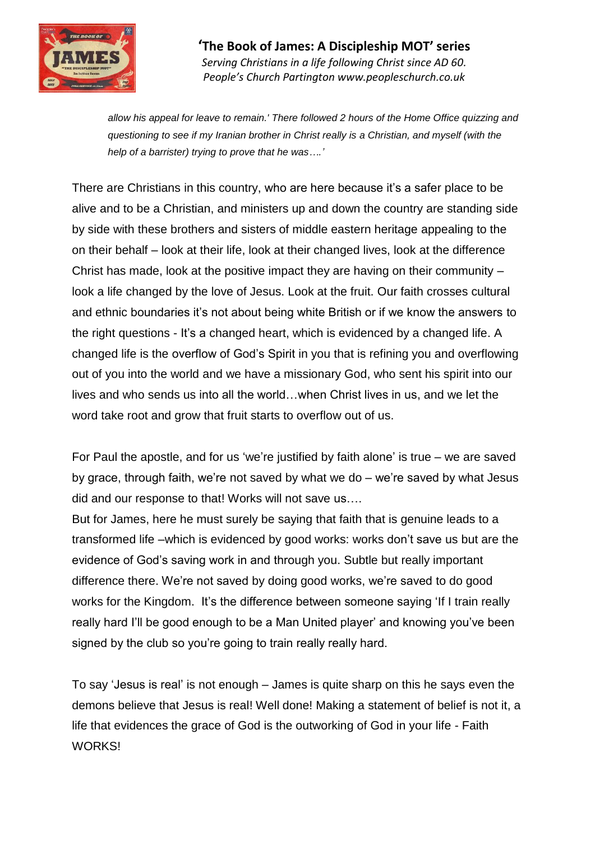

*allow his appeal for leave to remain.' There followed 2 hours of the Home Office quizzing and questioning to see if my Iranian brother in Christ really is a Christian, and myself (with the help of a barrister) trying to prove that he was….'*

There are Christians in this country, who are here because it's a safer place to be alive and to be a Christian, and ministers up and down the country are standing side by side with these brothers and sisters of middle eastern heritage appealing to the on their behalf – look at their life, look at their changed lives, look at the difference Christ has made, look at the positive impact they are having on their community – look a life changed by the love of Jesus. Look at the fruit. Our faith crosses cultural and ethnic boundaries it's not about being white British or if we know the answers to the right questions - It's a changed heart, which is evidenced by a changed life. A changed life is the overflow of God's Spirit in you that is refining you and overflowing out of you into the world and we have a missionary God, who sent his spirit into our lives and who sends us into all the world…when Christ lives in us, and we let the word take root and grow that fruit starts to overflow out of us.

For Paul the apostle, and for us 'we're justified by faith alone' is true – we are saved by grace, through faith, we're not saved by what we do – we're saved by what Jesus did and our response to that! Works will not save us….

But for James, here he must surely be saying that faith that is genuine leads to a transformed life –which is evidenced by good works: works don't save us but are the evidence of God's saving work in and through you. Subtle but really important difference there. We're not saved by doing good works, we're saved to do good works for the Kingdom. It's the difference between someone saying 'If I train really really hard I'll be good enough to be a Man United player' and knowing you've been signed by the club so you're going to train really really hard.

To say 'Jesus is real' is not enough – James is quite sharp on this he says even the demons believe that Jesus is real! Well done! Making a statement of belief is not it, a life that evidences the grace of God is the outworking of God in your life - Faith **WORKS!**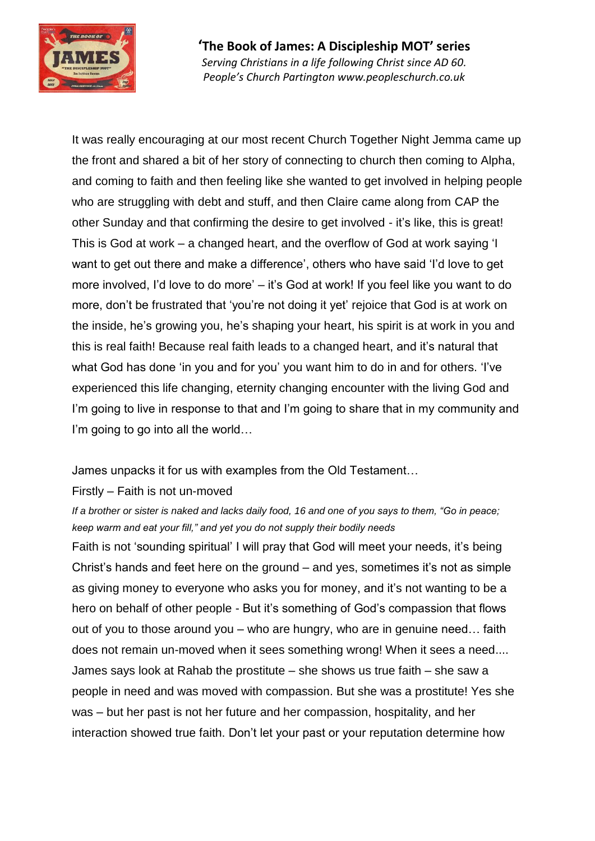

It was really encouraging at our most recent Church Together Night Jemma came up the front and shared a bit of her story of connecting to church then coming to Alpha, and coming to faith and then feeling like she wanted to get involved in helping people who are struggling with debt and stuff, and then Claire came along from CAP the other Sunday and that confirming the desire to get involved - it's like, this is great! This is God at work – a changed heart, and the overflow of God at work saying 'I want to get out there and make a difference', others who have said 'I'd love to get more involved, I'd love to do more' – it's God at work! If you feel like you want to do more, don't be frustrated that 'you're not doing it yet' rejoice that God is at work on the inside, he's growing you, he's shaping your heart, his spirit is at work in you and this is real faith! Because real faith leads to a changed heart, and it's natural that what God has done 'in you and for you' you want him to do in and for others. 'I've experienced this life changing, eternity changing encounter with the living God and I'm going to live in response to that and I'm going to share that in my community and I'm going to go into all the world...

#### James unpacks it for us with examples from the Old Testament…

#### Firstly – Faith is not un-moved

*If a brother or sister is naked and lacks daily food, 16 and one of you says to them, "Go in peace; keep warm and eat your fill," and yet you do not supply their bodily needs*

Faith is not 'sounding spiritual' I will pray that God will meet your needs, it's being Christ's hands and feet here on the ground – and yes, sometimes it's not as simple as giving money to everyone who asks you for money, and it's not wanting to be a hero on behalf of other people - But it's something of God's compassion that flows out of you to those around you – who are hungry, who are in genuine need… faith does not remain un-moved when it sees something wrong! When it sees a need.... James says look at Rahab the prostitute – she shows us true faith – she saw a people in need and was moved with compassion. But she was a prostitute! Yes she was – but her past is not her future and her compassion, hospitality, and her interaction showed true faith. Don't let your past or your reputation determine how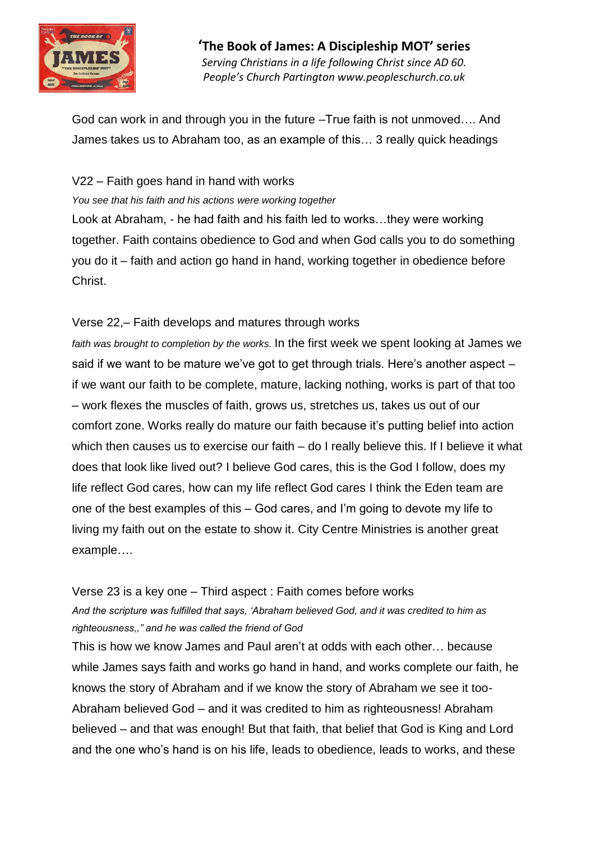

God can work in and through you in the future –True faith is not unmoved…. And James takes us to Abraham too, as an example of this… 3 really quick headings

### V22 – Faith goes hand in hand with works

*You see that his faith and his actions were working together*

Look at Abraham, - he had faith and his faith led to works…they were working together. Faith contains obedience to God and when God calls you to do something you do it – faith and action go hand in hand, working together in obedience before Christ.

### Verse 22,– Faith develops and matures through works

*faith was brought to completion by the works.* In the first week we spent looking at James we said if we want to be mature we've got to get through trials. Here's another aspect – if we want our faith to be complete, mature, lacking nothing, works is part of that too – work flexes the muscles of faith, grows us, stretches us, takes us out of our comfort zone. Works really do mature our faith because it's putting belief into action which then causes us to exercise our faith – do I really believe this. If I believe it what does that look like lived out? I believe God cares, this is the God I follow, does my life reflect God cares, how can my life reflect God cares I think the Eden team are one of the best examples of this – God cares, and I'm going to devote my life to living my faith out on the estate to show it. City Centre Ministries is another great example….

# Verse 23 is a key one – Third aspect : Faith comes before works *And the scripture was fulfilled that says, 'Abraham believed God, and it was credited to him as righteousness,," and he was called the friend of God*

This is how we know James and Paul aren't at odds with each other… because while James says faith and works go hand in hand, and works complete our faith, he knows the story of Abraham and if we know the story of Abraham we see it too-Abraham believed God – and it was credited to him as righteousness! Abraham believed – and that was enough! But that faith, that belief that God is King and Lord and the one who's hand is on his life, leads to obedience, leads to works, and these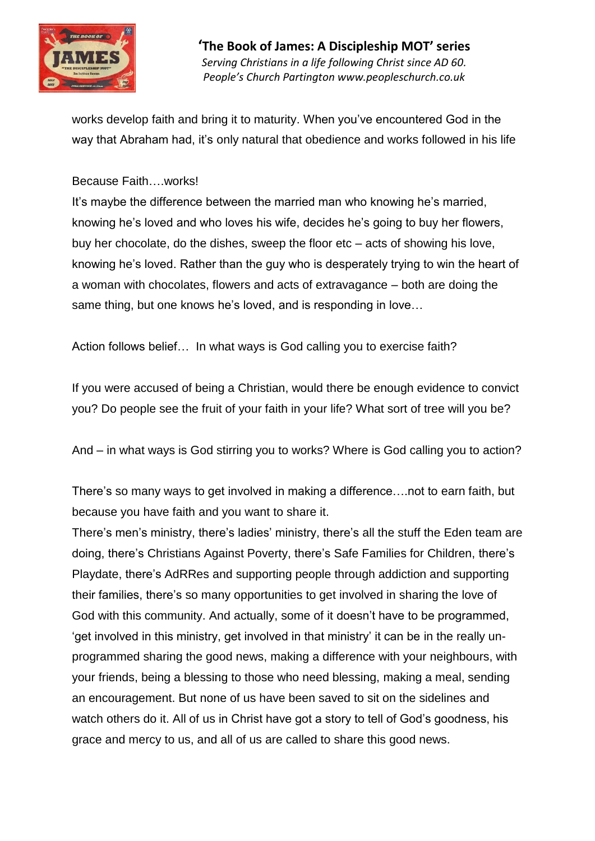

works develop faith and bring it to maturity. When you've encountered God in the way that Abraham had, it's only natural that obedience and works followed in his life

### Because Faith….works!

It's maybe the difference between the married man who knowing he's married, knowing he's loved and who loves his wife, decides he's going to buy her flowers, buy her chocolate, do the dishes, sweep the floor etc – acts of showing his love, knowing he's loved. Rather than the guy who is desperately trying to win the heart of a woman with chocolates, flowers and acts of extravagance – both are doing the same thing, but one knows he's loved, and is responding in love…

Action follows belief… In what ways is God calling you to exercise faith?

If you were accused of being a Christian, would there be enough evidence to convict you? Do people see the fruit of your faith in your life? What sort of tree will you be?

And – in what ways is God stirring you to works? Where is God calling you to action?

There's so many ways to get involved in making a difference….not to earn faith, but because you have faith and you want to share it.

There's men's ministry, there's ladies' ministry, there's all the stuff the Eden team are doing, there's Christians Against Poverty, there's Safe Families for Children, there's Playdate, there's AdRRes and supporting people through addiction and supporting their families, there's so many opportunities to get involved in sharing the love of God with this community. And actually, some of it doesn't have to be programmed, 'get involved in this ministry, get involved in that ministry' it can be in the really unprogrammed sharing the good news, making a difference with your neighbours, with your friends, being a blessing to those who need blessing, making a meal, sending an encouragement. But none of us have been saved to sit on the sidelines and watch others do it. All of us in Christ have got a story to tell of God's goodness, his grace and mercy to us, and all of us are called to share this good news.